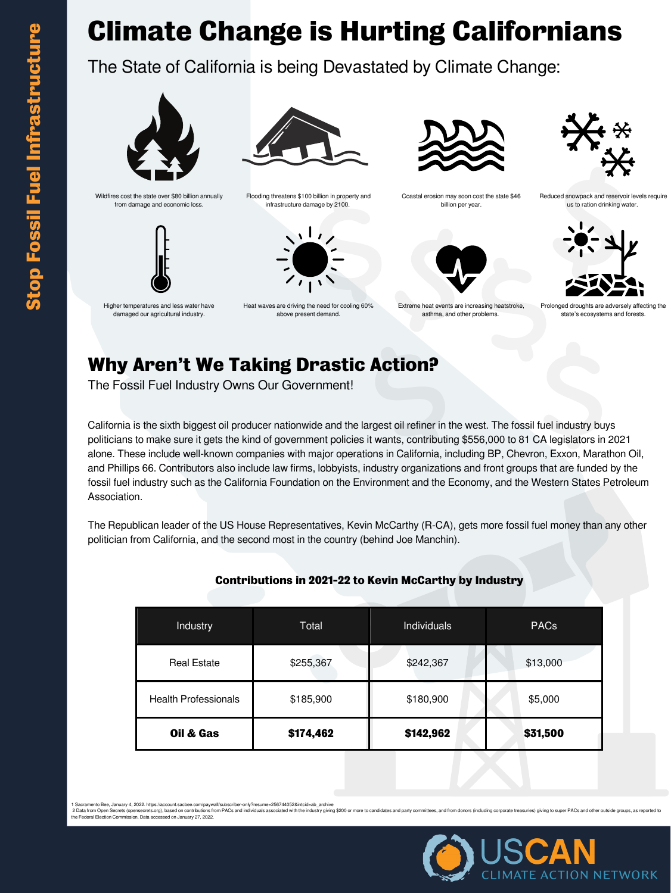| <b>Industry</b>             | Total     | <b>Individuals</b> | PACs     |
|-----------------------------|-----------|--------------------|----------|
| <b>Real Estate</b>          | \$255,367 | \$242,367          | \$13,000 |
| <b>Health Professionals</b> | \$185,900 | \$180,900          | \$5,000  |
| Oil & Gas                   | \$174,462 | \$142,962          | \$31,500 |

The State of California is being Devastated by Climate Change:

## **Climate Change is Hurting Californians**



Wildfires cost the state over \$80 billion annually from damage and economic loss.

Flooding threatens \$100 billion in property and infrastructure damage by 2100.



Coastal erosion may soon cost the state \$46 billion per year.



Reduced snowpack and reservoir levels require us to ration drinking water.



Higher temperatures and less water have damaged our agricultural industry.

Heat waves are driving the need for cooling 60% above present demand.

Extreme heat events are increasing heatstroke, asthma, and other problems.



Prolonged droughts are adversely affecting the state's ecosystems and forests.

### **Why Aren't We Taking Drastic Action?**

The Fossil Fuel Industry Owns Our Government!

2 Data from Open Secrets (opensecrets.org), based on contributions from PACs and individuals associated with the industry giving \$200 or more to candidates and party committees, and from donors (including corporate treasur the Federal Election Commission. Data accessed on January 27, 2022.



California is the sixth biggest oil producer nationwide and the largest oil refiner in the west. The fossil fuel industry buys politicians to make sure it gets the kind of government policies it wants, contributing \$556,000 to 81 CA legislators in 2021 alone. These include well-known companies with major operations in California, including BP, Chevron, Exxon, Marathon Oil, and Phillips 66. Contributors also include law firms, lobbyists, industry organizations and front groups that are funded by the fossil fuel industry such as the California Foundation on the Environment and the Economy, and the Western States Petroleum Association.

The Republican leader of the US House Representatives, Kevin McCarthy (R-CA), gets more fossil fuel money than any other politician from California, and the second most in the country (behind Joe Manchin).

#### **Contributions in 2021-22 to Kevin McCarthy by Industry**

1 Sacramento Bee, January 4, 2022. https://account.sacbee.com/paywall/subscriber-only?resume=256744052&intcid=ab\_archive